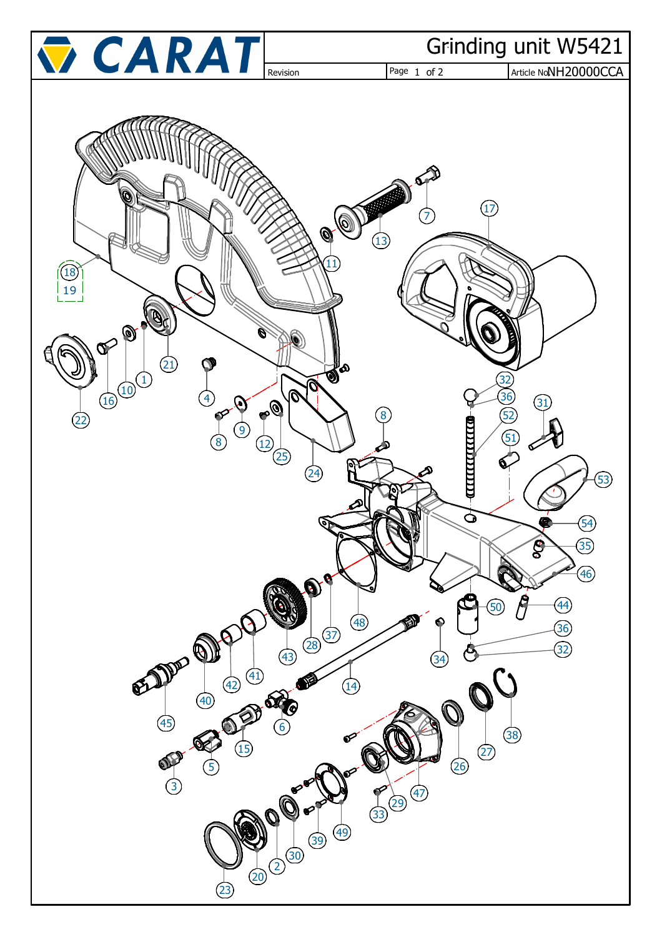